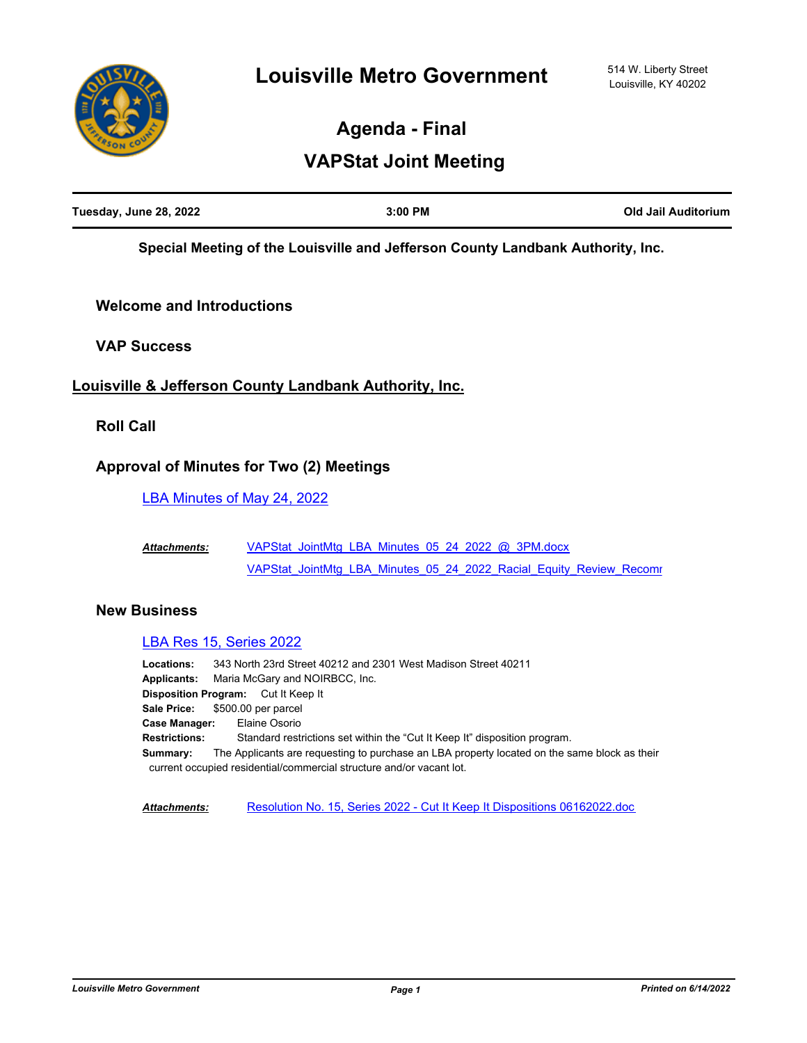

**Agenda - Final**

# **VAPStat Joint Meeting**

| Tuesday, June 28, 2022 | $3:00$ PM | Old Jail Auditorium |
|------------------------|-----------|---------------------|
|                        |           |                     |

**Special Meeting of the Louisville and Jefferson County Landbank Authority, Inc.**

# **Welcome and Introductions**

**VAP Success**

# **Louisville & Jefferson County Landbank Authority, Inc.**

**Roll Call**

# **Approval of Minutes for Two (2) Meetings**

[LBA Minutes of May 24, 2022](http://louisville.legistar.com/gateway.aspx?m=l&id=/matter.aspx?key=60792)

[VAPStat\\_JointMtg\\_LBA\\_Minutes\\_05\\_24\\_2022\\_@\\_3PM.docx](http://louisville.legistar.com/gateway.aspx?M=F&ID=aacfd614-c89c-4a09-a7d2-c95edb359ada.docx) VAPStat\_JointMtg\_LBA\_Minutes\_05\_24\_2022\_Racial\_Equity\_Review\_Recomr *Attachments:*

# **New Business**

#### [LBA Res 15, Series 2022](http://louisville.legistar.com/gateway.aspx?m=l&id=/matter.aspx?key=60339)

**Locations:** 343 North 23rd Street 40212 and 2301 West Madison Street 40211 **Applicants:** Maria McGary and NOIRBCC, Inc. **Disposition Program:** Cut It Keep It **Sale Price:** \$500.00 per parcel **Case Manager:** Elaine Osorio **Restrictions:** Standard restrictions set within the "Cut It Keep It" disposition program. **Summary:** The Applicants are requesting to purchase an LBA property located on the same block as their current occupied residential/commercial structure and/or vacant lot.

*Attachments:* [Resolution No. 15, Series 2022 - Cut It Keep It Dispositions 06162022.doc](http://louisville.legistar.com/gateway.aspx?M=F&ID=91c26a19-f950-4869-be22-8f8e96a6f897.doc)